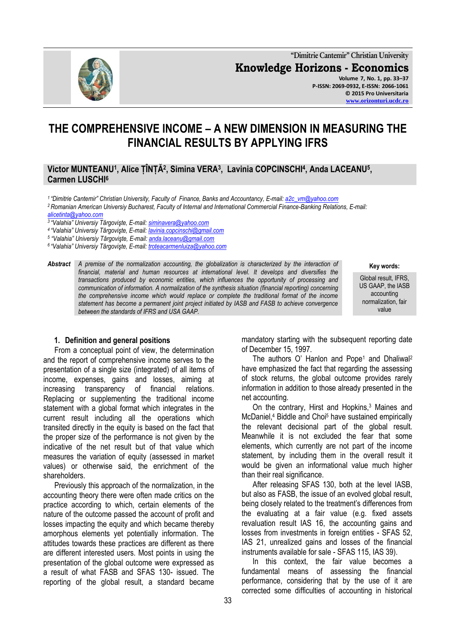**"Dimitrie Cantemir" Christian University Knowledge Horizons - Economics Volume 7, No. 1, pp. 33–37 P-ISSN: 2069-0932, E-ISSN: 2066-1061 © 2015 Pro Universitaria**

# **THE COMPREHENSIVE INCOME – A NEW DIMENSION IN MEASURING THE FINANCIAL RESULTS BY APPLYING IFRS**

**Victor MUNTEANU<sup>1</sup> , Alice ȚÎNȚĂ<sup>2</sup> , Simina VERA<sup>3</sup> , Lavinia COPCINSCHI<sup>4</sup> , Anda LACEANU<sup>5</sup> , Carmen LUSCHI<sup>6</sup>**

*<sup>1</sup>"Dimitrie Cantemir" Christian University, Faculty of Finance, Banks and Accountancy, E-mail[: a2c\\_vm@yahoo.com](mailto:a2c_vm@yahoo.com)*

*<sup>2</sup>Romanian American Universiy Bucharest, Faculty of Internal and International Commercial Finance-Banking Relations, E-mail:* 

*<sup>3</sup>"Valahia" Universiy Târgovişte, E-mail: [siminavera@yahoo.com](mailto:siminavera@yahoo.com)*

- *<sup>4</sup>"Valahia" Universiy Târgovişte, E-mail: [lavinia.copcinschi@gmail.com](mailto:lavinia.copcinschi@gmail.com)*
- *5 "Valahia" Universiy Târgovişte, E-mail[: anda.laceanu@gmail.com](mailto:anda.laceanu@gmail.com)*
- *<sup>6</sup>"Valahia" Universiy Târgovişte, E-mail: [troteacarmenluiza@yahoo.com](mailto:troteacarmenluiza@yahoo.com)*

*Abstract A premise of the normalization accounting, the globalization is characterized by the interaction of financial, material and human resources at international level. It develops and diversifies the transactions produced by economic entities, which influences the opportunity of processing and communication of information. A normalization of the synthesis situation (financial reporting) concerning the comprehensive income which would replace or complete the traditional format of the income statement has become a permanent joint project initiated by IASB and FASB to achieve convergence between the standards of IFRS and USA GAAP.*

#### **Key words:**

Global result, IFRS, US GAAP, the IASB accounting normalization, fair value

#### **1. Definition and general positions**

From a conceptual point of view, the determination and the report of comprehensive income serves to the presentation of a single size (integrated) of all items of income, expenses, gains and losses, aiming at increasing transparency of financial relations. Replacing or supplementing the traditional income statement with a global format which integrates in the current result including all the operations which transited directly in the equity is based on the fact that the proper size of the performance is not given by the indicative of the net result but of that value which measures the variation of equity (assessed in market values) or otherwise said, the enrichment of the shareholders.

Previously this approach of the normalization, in the accounting theory there were often made critics on the practice according to which, certain elements of the nature of the outcome passed the account of profit and losses impacting the equity and which became thereby amorphous elements yet potentially information. The attitudes towards these practices are different as there are different interested users. Most points in using the presentation of the global outcome were expressed as a result of what FASB and SFAS 130- issued. The reporting of the global result, a standard became

mandatory starting with the subsequent reporting date of December 15, 1997.

The authors O' Hanlon and Pope<sup>1</sup> and Dhaliwal<sup>2</sup> have emphasized the fact that regarding the assessing of stock returns, the global outcome provides rarely information in addition to those already presented in the net accounting.

On the contrary, Hirst and Hopkins,<sup>3</sup> Maines and McDaniel,<sup>4</sup> Biddle and Choi<sup>5</sup> have sustained empirically the relevant decisional part of the global result. Meanwhile it is not excluded the fear that some elements, which currently are not part of the income statement, by including them in the overall result it would be given an informational value much higher than their real significance.

After releasing SFAS 130, both at the level IASB, but also as FASB, the issue of an evolved global result, being closely related to the treatment's differences from the evaluating at a fair value (e.g. fixed assets revaluation result IAS 16, the accounting gains and losses from investments in foreign entities - SFAS 52, IAS 21, unrealized gains and losses of the financial instruments available for sale - SFAS 115, IAS 39).

In this context, the fair value becomes a fundamental means of assessing the financial performance, considering that by the use of it are corrected some difficulties of accounting in historical



*[alicetinta@yahoo.com](mailto:alicetinta@yahoo.com)*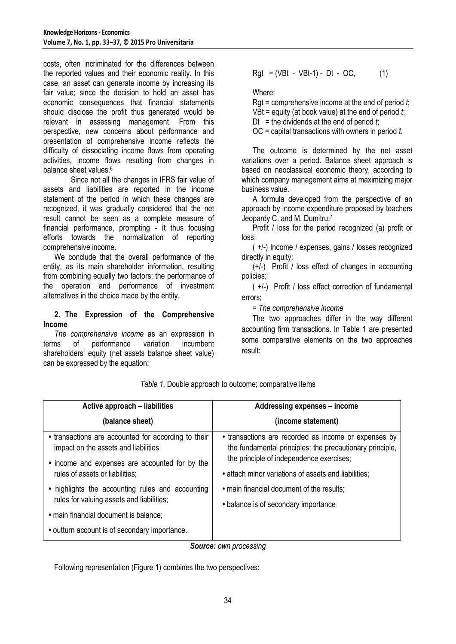costs, often incriminated for the differences between the reported values and their economic reality. In this case, an asset can generate income by increasing its fair value; since the decision to hold an asset has economic consequences that financial statements should disclose the profit thus generated would be relevant in assessing management. From this perspective, new concerns about performance and presentation of comprehensive income reflects the difficulty of dissociating income flows from operating activities, income flows resulting from changes in balance sheet values.<sup>6</sup>

Since not all the changes in IFRS fair value of assets and liabilities are reported in the income statement of the period in which these changes are recognized, it was gradually considered that the net result cannot be seen as a complete measure of financial performance, prompting - it thus focusing efforts towards the normalization of reporting comprehensive income.

We conclude that the overall performance of the entity, as its main shareholder information, resulting from combining equally two factors: the performance of the operation and performance of investment alternatives in the choice made by the entity.

## **2. The Expression of the Comprehensive Income**

*The comprehensive income* as an expression in terms of performance variation incumbent shareholders' equity (net assets balance sheet value) can be expressed by the equation:

$$
Rgt = (VBt - VBt-1) - Dt - OC,
$$
 (1)

Where:

Rgt = comprehensive income at the end of period *t*;

VBt = equity (at book value) at the end of period *t*;

Dt = the dividends at the end of period  $t$ ;

OC = capital transactions with owners in period *t*.

The outcome is determined by the net asset variations over a period. Balance sheet approach is based on neoclassical economic theory, according to which company management aims at maximizing major business value.

A formula developed from the perspective of an approach by income expenditure proposed by teachers Jeopardy C. and M. Dumitru:<sup>7</sup>

Profit / loss for the period recognized (a) profit or loss:

( +/-) Income / expenses, gains / losses recognized directly in equity;

(+/-) Profit / loss effect of changes in accounting policies;

( +/-) Profit / loss effect correction of fundamental errors;

*= The comprehensive income*

The two approaches differ in the way different accounting firm transactions. In Table 1 are presented some comparative elements on the two approaches result:

| Active approach – liabilities                                                                 | <b>Addressing expenses - income</b>                                                                                                                                                                                  |
|-----------------------------------------------------------------------------------------------|----------------------------------------------------------------------------------------------------------------------------------------------------------------------------------------------------------------------|
| (balance sheet)                                                                               | (income statement)                                                                                                                                                                                                   |
| • transactions are accounted for according to their<br>impact on the assets and liabilities   | • transactions are recorded as income or expenses by<br>the fundamental principles: the precautionary principle,<br>the principle of independence exercises;<br>• attach minor variations of assets and liabilities; |
| • income and expenses are accounted for by the<br>rules of assets or liabilities;             |                                                                                                                                                                                                                      |
|                                                                                               |                                                                                                                                                                                                                      |
| • highlights the accounting rules and accounting<br>rules for valuing assets and liabilities; | • main financial document of the results;                                                                                                                                                                            |
| · main financial document is balance;                                                         | • balance is of secondary importance                                                                                                                                                                                 |
| • outturn account is of secondary importance.                                                 |                                                                                                                                                                                                                      |

*Table 1.* Double approach to outcome; comparative items

*Source: own processing*

Following representation (Figure 1) combines the two perspectives: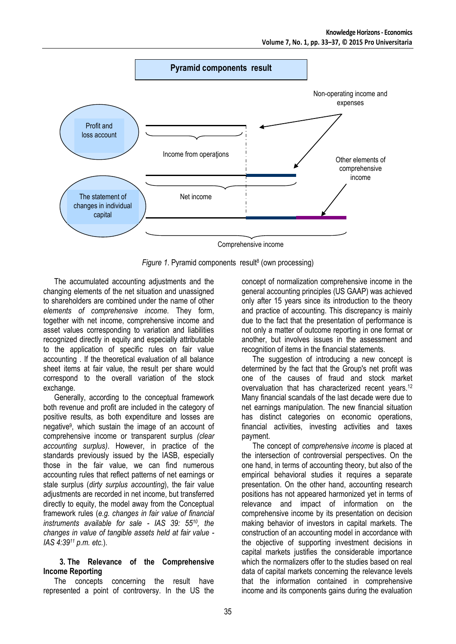

Figure 1. Pyramid components result<sup>8</sup> (own processing)

The accumulated accounting adjustments and the changing elements of the net situation and unassigned to shareholders are combined under the name of other *elements of comprehensive income.* They form, together with net income, comprehensive income and asset values corresponding to variation and liabilities recognized directly in equity and especially attributable to the application of specific rules on fair value accounting . If the theoretical evaluation of all balance sheet items at fair value, the result per share would correspond to the overall variation of the stock exchange.

Generally, according to the conceptual framework both revenue and profit are included in the category of positive results, as both expenditure and losses are negative<sup>9</sup>, which sustain the image of an account of comprehensive income or transparent surplus *(clear accounting surplus)*. However, in practice of the standards previously issued by the IASB, especially those in the fair value, we can find numerous accounting rules that reflect patterns of net earnings or stale surplus (*dirty surplus accounting*), the fair value adjustments are recorded in net income, but transferred directly to equity, the model away from the Conceptual framework rules (*e.g. changes in fair value of financial instruments available for sale - IAS 39: 5510, the changes in value of tangible assets held at fair value - IAS 4:39<sup>11</sup> p.m. etc.*).

#### **3. The Relevance of the Comprehensive Income Reporting**

The concepts concerning the result have represented a point of controversy. In the US the

concept of normalization comprehensive income in the general accounting principles (US GAAP) was achieved only after 15 years since its introduction to the theory and practice of accounting. This discrepancy is mainly due to the fact that the presentation of performance is not only a matter of outcome reporting in one format or another, but involves issues in the assessment and recognition of items in the financial statements.

The suggestion of introducing a new concept is determined by the fact that the Group's net profit was one of the causes of fraud and stock market overvaluation that has characterized recent years.<sup>12</sup> Many financial scandals of the last decade were due to net earnings manipulation. The new financial situation has distinct categories on economic operations, financial activities, investing activities and taxes payment.

The concept of *comprehensive income* is placed at the intersection of controversial perspectives. On the one hand, in terms of accounting theory, but also of the empirical behavioral studies it requires a separate presentation. On the other hand, accounting research positions has not appeared harmonized yet in terms of relevance and impact of information on the comprehensive income by its presentation on decision making behavior of investors in capital markets. The construction of an accounting model in accordance with the objective of supporting investment decisions in capital markets justifies the considerable importance which the normalizers offer to the studies based on real data of capital markets concerning the relevance levels that the information contained in comprehensive income and its components gains during the evaluation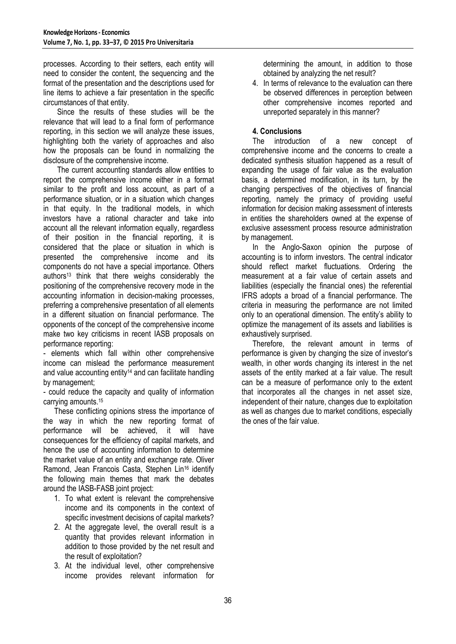processes. According to their setters, each entity will need to consider the content, the sequencing and the format of the presentation and the descriptions used for line items to achieve a fair presentation in the specific circumstances of that entity.

Since the results of these studies will be the relevance that will lead to a final form of performance reporting, in this section we will analyze these issues, highlighting both the variety of approaches and also how the proposals can be found in normalizing the disclosure of the comprehensive income.

The current accounting standards allow entities to report the comprehensive income either in a format similar to the profit and loss account, as part of a performance situation, or in a situation which changes in that equity. In the traditional models, in which investors have a rational character and take into account all the relevant information equally, regardless of their position in the financial reporting, it is considered that the place or situation in which is presented the comprehensive income and its components do not have a special importance. Others authors<sup>13</sup> think that there weighs considerably the positioning of the comprehensive recovery mode in the accounting information in decision-making processes, preferring a comprehensive presentation of all elements in a different situation on financial performance. The opponents of the concept of the comprehensive income make two key criticisms in recent IASB proposals on performance reporting:

- elements which fall within other comprehensive income can mislead the performance measurement and value accounting entity<sup>14</sup> and can facilitate handling by management;

- could reduce the capacity and quality of information carrying amounts.<sup>15</sup>

These conflicting opinions stress the importance of the way in which the new reporting format of performance will be achieved, it will have consequences for the efficiency of capital markets, and hence the use of accounting information to determine the market value of an entity and exchange rate. Oliver Ramond, Jean Francois Casta, Stephen Lin<sup>16</sup> identify the following main themes that mark the debates around the IASB-FASB joint project:

- 1. To what extent is relevant the comprehensive income and its components in the context of specific investment decisions of capital markets?
- 2. At the aggregate level, the overall result is a quantity that provides relevant information in addition to those provided by the net result and the result of exploitation?
- 3. At the individual level, other comprehensive income provides relevant information for

determining the amount, in addition to those obtained by analyzing the net result?

4. In terms of relevance to the evaluation can there be observed differences in perception between other comprehensive incomes reported and unreported separately in this manner?

## **4. Conclusions**

The introduction of a new concept of comprehensive income and the concerns to create a dedicated synthesis situation happened as a result of expanding the usage of fair value as the evaluation basis, a determined modification, in its turn, by the changing perspectives of the objectives of financial reporting, namely the primacy of providing useful information for decision making assessment of interests in entities the shareholders owned at the expense of exclusive assessment process resource administration by management.

In the Anglo-Saxon opinion the purpose of accounting is to inform investors. The central indicator should reflect market fluctuations. Ordering the measurement at a fair value of certain assets and liabilities (especially the financial ones) the referential IFRS adopts a broad of a financial performance. The criteria in measuring the performance are not limited only to an operational dimension. The entity's ability to optimize the management of its assets and liabilities is exhaustively surprised.

Therefore, the relevant amount in terms of performance is given by changing the size of investor's wealth, in other words changing its interest in the net assets of the entity marked at a fair value. The result can be a measure of performance only to the extent that incorporates all the changes in net asset size, independent of their nature, changes due to exploitation as well as changes due to market conditions, especially the ones of the fair value.